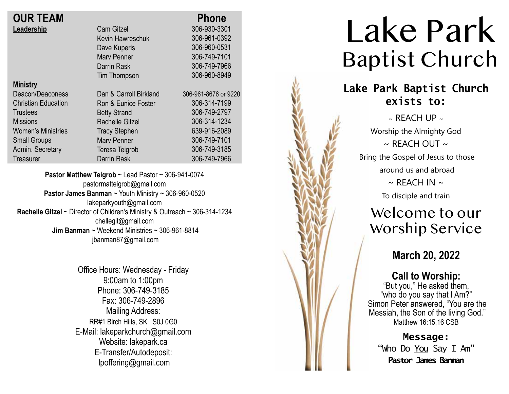| <b>OUR TEAM</b>            |                        | <b>Phone</b>         |
|----------------------------|------------------------|----------------------|
| Leadership                 | <b>Cam Gitzel</b>      | 306-930-3301         |
|                            | Kevin Hawreschuk       | 306-961-0392         |
|                            | Dave Kuperis           | 306-960-0531         |
|                            | <b>Mary Penner</b>     | 306-749-7101         |
|                            | Darrin Rask            | 306-749-7966         |
|                            | Tim Thompson           | 306-960-8949         |
| <b>Ministry</b>            |                        |                      |
| Deacon/Deaconess           | Dan & Carroll Birkland | 306-961-8676 or 9220 |
| <b>Christian Education</b> | Ron & Eunice Foster    | 306-314-7199         |
| <b>Trustees</b>            | <b>Betty Strand</b>    | 306-749-2797         |
| <b>Missions</b>            | <b>Rachelle Gitzel</b> | 306-314-1234         |
| <b>Women's Ministries</b>  | <b>Tracy Stephen</b>   | 639-916-2089         |
| <b>Small Groups</b>        | <b>Mary Penner</b>     | 306-749-7101         |
| Admin. Secretary           | Teresa Teigrob         | 306-749-3185         |
| Treasurer                  | Darrin Rask            | 306-749-7966         |

**Pastor Matthew Teigrob** ~ Lead Pastor ~ 306-941-0074 pastormatteigrob@gmail.com **Pastor James Banman** ~ Youth Ministry ~ 306-960-0520 lakeparkyouth@gmail.com **Rachelle Gitzel** ~ Director of Children's Ministry & Outreach ~ 306-314-1234 chellegit@gmail.com  **Jim Banman** ~ Weekend Ministries ~ 306-961-8814 jbanman87@gmail.com

> Office Hours: Wednesday - Friday 9:00am to 1:00pm Phone: 306-749-3185 Fax: 306-749-2896 Mailing Address: RR#1 Birch Hills, SK S0J 0G0 E-Mail: lakeparkchurch@gmail.com Website: lakepark.ca E-Transfer/Autodeposit: lpoffering@gmail.com